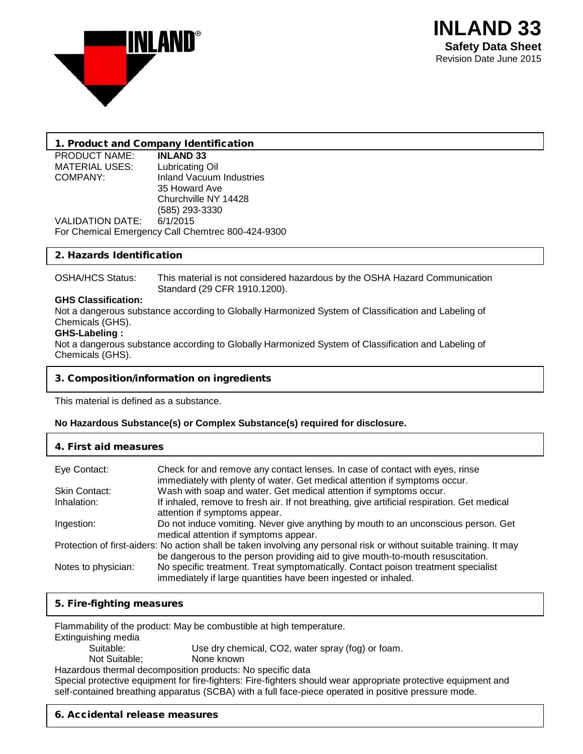

# 1. Product and Company Identification

PRODUCT NAME: **INLAND 33**<br>MATERIAL USES: Lubricating Oil MATERIAL USES:<br>COMPANY:

Inland Vacuum Industries 35 Howard Ave Churchville NY 14428 (585) 293-3330 VALIDATION DATE: For Chemical Emergency Call Chemtrec 800-424-9300

## 2. Hazards Identification

OSHA/HCS Status: This material is not considered hazardous by the OSHA Hazard Communication Standard (29 CFR 1910.1200).

### **GHS Classification:**

Not a dangerous substance according to Globally Harmonized System of Classification and Labeling of Chemicals (GHS).

### **GHS-Labeling :**

Not a dangerous substance according to Globally Harmonized System of Classification and Labeling of Chemicals (GHS).

## 3. Composition/information on ingredients

This material is defined as a substance.

## **No Hazardous Substance(s) or Complex Substance(s) required for disclosure.**

### 4. First aid measures

| Eye Contact:         | Check for and remove any contact lenses. In case of contact with eyes, rinse<br>immediately with plenty of water. Get medical attention if symptoms occur.                                              |
|----------------------|---------------------------------------------------------------------------------------------------------------------------------------------------------------------------------------------------------|
| <b>Skin Contact:</b> | Wash with soap and water. Get medical attention if symptoms occur.                                                                                                                                      |
| Inhalation:          | If inhaled, remove to fresh air. If not breathing, give artificial respiration. Get medical<br>attention if symptoms appear.                                                                            |
| Ingestion:           | Do not induce vomiting. Never give anything by mouth to an unconscious person. Get<br>medical attention if symptoms appear.                                                                             |
|                      | Protection of first-aiders: No action shall be taken involving any personal risk or without suitable training. It may<br>be dangerous to the person providing aid to give mouth-to-mouth resuscitation. |
| Notes to physician:  | No specific treatment. Treat symptomatically. Contact poison treatment specialist<br>immediately if large quantities have been ingested or inhaled.                                                     |

## 5. Fire-fighting measures

Flammability of the product: May be combustible at high temperature.

- **Extinguishing media**<br>Suitable:
	- Use dry chemical, CO2, water spray (fog) or foam.
	- Not Suitable; None known

Hazardous thermal decomposition products: No specific data

Special protective equipment for fire-fighters: Fire-fighters should wear appropriate protective equipment and self-contained breathing apparatus (SCBA) with a full face-piece operated in positive pressure mode.

## 6. Accidental release measures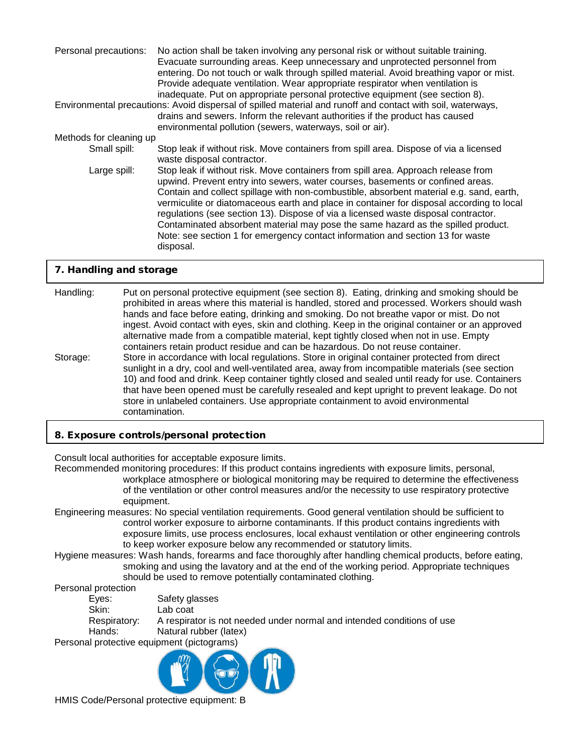| Personal precautions:   | No action shall be taken involving any personal risk or without suitable training.<br>Evacuate surrounding areas. Keep unnecessary and unprotected personnel from<br>entering. Do not touch or walk through spilled material. Avoid breathing vapor or mist.<br>Provide adequate ventilation. Wear appropriate respirator when ventilation is<br>inadequate. Put on appropriate personal protective equipment (see section 8).                                                                                                                                                                                                      |
|-------------------------|-------------------------------------------------------------------------------------------------------------------------------------------------------------------------------------------------------------------------------------------------------------------------------------------------------------------------------------------------------------------------------------------------------------------------------------------------------------------------------------------------------------------------------------------------------------------------------------------------------------------------------------|
|                         | Environmental precautions: Avoid dispersal of spilled material and runoff and contact with soil, waterways,<br>drains and sewers. Inform the relevant authorities if the product has caused<br>environmental pollution (sewers, waterways, soil or air).                                                                                                                                                                                                                                                                                                                                                                            |
| Methods for cleaning up |                                                                                                                                                                                                                                                                                                                                                                                                                                                                                                                                                                                                                                     |
| Small spill:            | Stop leak if without risk. Move containers from spill area. Dispose of via a licensed<br>waste disposal contractor.                                                                                                                                                                                                                                                                                                                                                                                                                                                                                                                 |
| Large spill:            | Stop leak if without risk. Move containers from spill area. Approach release from<br>upwind. Prevent entry into sewers, water courses, basements or confined areas.<br>Contain and collect spillage with non-combustible, absorbent material e.g. sand, earth,<br>vermiculite or diatomaceous earth and place in container for disposal according to local<br>regulations (see section 13). Dispose of via a licensed waste disposal contractor.<br>Contaminated absorbent material may pose the same hazard as the spilled product.<br>Note: see section 1 for emergency contact information and section 13 for waste<br>disposal. |

## 7. Handling and storage

Handling: Put on personal protective equipment (see section 8). Eating, drinking and smoking should be prohibited in areas where this material is handled, stored and processed. Workers should wash hands and face before eating, drinking and smoking. Do not breathe vapor or mist. Do not ingest. Avoid contact with eyes, skin and clothing. Keep in the original container or an approved alternative made from a compatible material, kept tightly closed when not in use. Empty containers retain product residue and can be hazardous. Do not reuse container. Storage: Store in accordance with local regulations. Store in original container protected from direct sunlight in a dry, cool and well-ventilated area, away from incompatible materials (see section 10) and food and drink. Keep container tightly closed and sealed until ready for use. Containers that have been opened must be carefully resealed and kept upright to prevent leakage. Do not store in unlabeled containers. Use appropriate containment to avoid environmental contamination.

### 8. Exposure controls/personal protection

Consult local authorities for acceptable exposure limits.

Recommended monitoring procedures: If this product contains ingredients with exposure limits, personal, workplace atmosphere or biological monitoring may be required to determine the effectiveness of the ventilation or other control measures and/or the necessity to use respiratory protective equipment.

- Engineering measures: No special ventilation requirements. Good general ventilation should be sufficient to control worker exposure to airborne contaminants. If this product contains ingredients with exposure limits, use process enclosures, local exhaust ventilation or other engineering controls to keep worker exposure below any recommended or statutory limits.
- Hygiene measures: Wash hands, forearms and face thoroughly after handling chemical products, before eating, smoking and using the lavatory and at the end of the working period. Appropriate techniques should be used to remove potentially contaminated clothing.

Personal protection<br>Eves:

Eyes: Safety glasses<br>Skin: Lab coat Lab coat Respiratory: A respirator is not needed under normal and intended conditions of use Hands: Natural rubber (latex) Personal protective equipment (pictograms)

HMIS Code/Personal protective equipment: B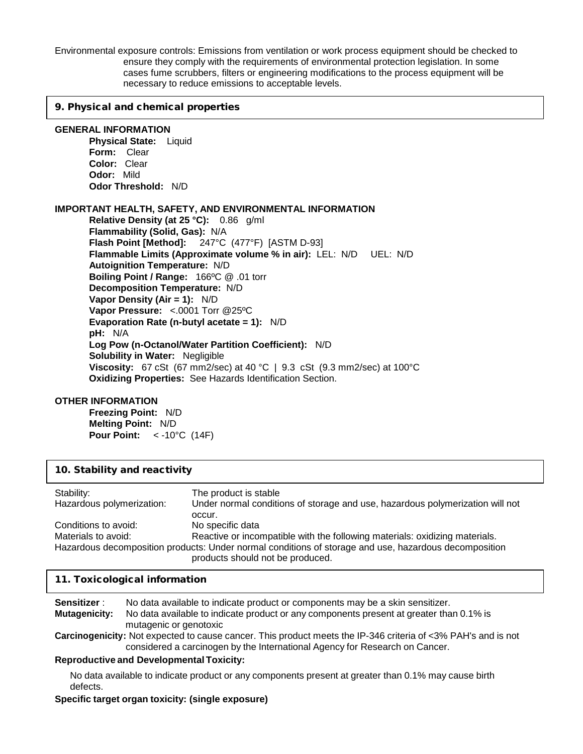Environmental exposure controls: Emissions from ventilation or work process equipment should be checked to ensure they comply with the requirements of environmental protection legislation. In some cases fume scrubbers, filters or engineering modifications to the process equipment will be necessary to reduce emissions to acceptable levels.

#### 9. Physical and chemical properties

#### **GENERAL INFORMATION**

**Physical State:** Liquid **Form:** Clear **Color:** Clear **Odor:** Mild **Odor Threshold:** N/D

#### **IMPORTANT HEALTH, SAFETY, AND ENVIRONMENTAL INFORMATION**

**Relative Density (at 25 °C):** 0.86 g/ml **Flammability (Solid, Gas):** N/A **Flash Point [Method]:** 247°C (477°F) [ASTM D-93] **Flammable Limits (Approximate volume % in air):** LEL: N/D UEL: N/D **Autoignition Temperature:** N/D **Boiling Point / Range:** 166ºC @ .01 torr **Decomposition Temperature:** N/D **Vapor Density (Air = 1):** N/D **Vapor Pressure:** <.0001 Torr @25ºC **Evaporation Rate (n-butyl acetate = 1):** N/D **pH:** N/A **Log Pow (n-Octanol/Water Partition Coefficient):** N/D **Solubility in Water:** Negligible **Viscosity:** 67 cSt (67 mm2/sec) at 40 °C | 9.3 cSt (9.3 mm2/sec) at 100°C **Oxidizing Properties:** See Hazards Identification Section.

#### **OTHER INFORMATION**

**Freezing Point:** N/D **Melting Point:** N/D **Pour Point:** < -10°C (14F)

| 10. Stability and reactivity |                                                                                                                                           |  |
|------------------------------|-------------------------------------------------------------------------------------------------------------------------------------------|--|
| Stability:                   | The product is stable                                                                                                                     |  |
| Hazardous polymerization:    | Under normal conditions of storage and use, hazardous polymerization will not<br>occur.                                                   |  |
| Conditions to avoid:         | No specific data                                                                                                                          |  |
| Materials to avoid:          | Reactive or incompatible with the following materials: oxidizing materials.                                                               |  |
|                              | Hazardous decomposition products: Under normal conditions of storage and use, hazardous decomposition<br>products should not be produced. |  |

#### 11. Toxicological information

**Sensitizer** : No data available to indicate product or components may be a skin sensitizer. **Mutagenicity:** No data available to indicate product or any components present at greater than 0.1% is mutagenic or genotoxic

**Carcinogenicity:** Not expected to cause cancer. This product meets the IP-346 criteria of <3% PAH's and is not considered a carcinogen by the International Agency for Research on Cancer.

#### **Reproductive and Developmental Toxicity:**

No data available to indicate product or any components present at greater than 0.1% may cause birth defects.

#### **Specific target organ toxicity: (single exposure)**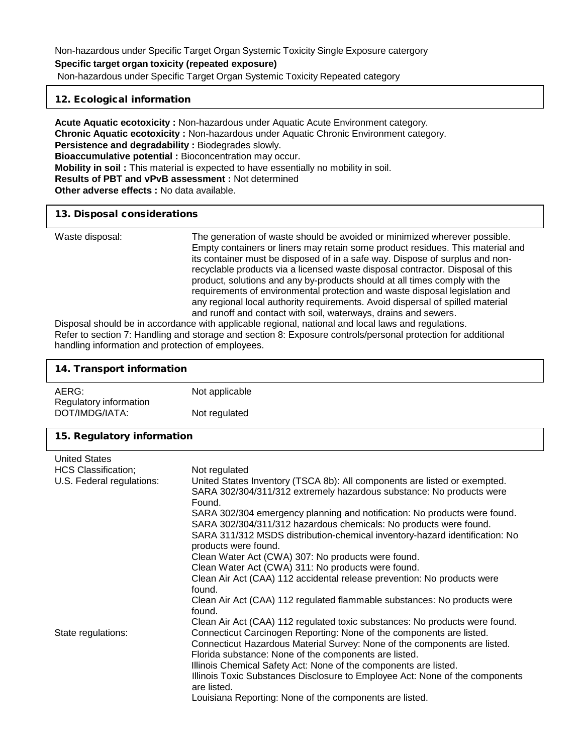## 12. Ecological information

**Acute Aquatic ecotoxicity :** Non-hazardous under Aquatic Acute Environment category. **Chronic Aquatic ecotoxicity :** Non-hazardous under Aquatic Chronic Environment category. **Persistence and degradability :** Biodegrades slowly. **Bioaccumulative potential :** Bioconcentration may occur. **Mobility in soil :** This material is expected to have essentially no mobility in soil. **Results of PBT and vPvB assessment :** Not determined **Other adverse effects :** No data available.

#### 13. Disposal considerations

| Waste disposal: | The generation of waste should be avoided or minimized wherever possible.<br>Empty containers or liners may retain some product residues. This material and<br>its container must be disposed of in a safe way. Dispose of surplus and non-<br>recyclable products via a licensed waste disposal contractor. Disposal of this |
|-----------------|-------------------------------------------------------------------------------------------------------------------------------------------------------------------------------------------------------------------------------------------------------------------------------------------------------------------------------|
|                 | product, solutions and any by-products should at all times comply with the<br>requirements of environmental protection and waste disposal legislation and<br>any regional local authority requirements. Avoid dispersal of spilled material                                                                                   |
|                 | and runoff and contact with soil, waterways, drains and sewers.                                                                                                                                                                                                                                                               |
|                 | Disposal abould be in cooperationes with applicable regional, patienal and local laws and regulations                                                                                                                                                                                                                         |

Disposal should be in accordance with applicable regional, national and local laws and regulations. Refer to section 7: Handling and storage and section 8: Exposure controls/personal protection for additional handling information and protection of employees.

| 14. Transport information                                                                             |                                                                                                                                                                                                                                                                                                                                                                                                                                                                                                                                                                                                                                                                                                                                                                                                                                                                                                                                                                                                                                                                                                                                                                                                                                                         |  |
|-------------------------------------------------------------------------------------------------------|---------------------------------------------------------------------------------------------------------------------------------------------------------------------------------------------------------------------------------------------------------------------------------------------------------------------------------------------------------------------------------------------------------------------------------------------------------------------------------------------------------------------------------------------------------------------------------------------------------------------------------------------------------------------------------------------------------------------------------------------------------------------------------------------------------------------------------------------------------------------------------------------------------------------------------------------------------------------------------------------------------------------------------------------------------------------------------------------------------------------------------------------------------------------------------------------------------------------------------------------------------|--|
| AERG:<br>Regulatory information                                                                       | Not applicable                                                                                                                                                                                                                                                                                                                                                                                                                                                                                                                                                                                                                                                                                                                                                                                                                                                                                                                                                                                                                                                                                                                                                                                                                                          |  |
| DOT/IMDG/IATA:                                                                                        | Not regulated                                                                                                                                                                                                                                                                                                                                                                                                                                                                                                                                                                                                                                                                                                                                                                                                                                                                                                                                                                                                                                                                                                                                                                                                                                           |  |
| 15. Regulatory information                                                                            |                                                                                                                                                                                                                                                                                                                                                                                                                                                                                                                                                                                                                                                                                                                                                                                                                                                                                                                                                                                                                                                                                                                                                                                                                                                         |  |
| <b>United States</b><br><b>HCS Classification;</b><br>U.S. Federal regulations:<br>State regulations: | Not regulated<br>United States Inventory (TSCA 8b): All components are listed or exempted.<br>SARA 302/304/311/312 extremely hazardous substance: No products were<br>Found.<br>SARA 302/304 emergency planning and notification: No products were found.<br>SARA 302/304/311/312 hazardous chemicals: No products were found.<br>SARA 311/312 MSDS distribution-chemical inventory-hazard identification: No<br>products were found.<br>Clean Water Act (CWA) 307: No products were found.<br>Clean Water Act (CWA) 311: No products were found.<br>Clean Air Act (CAA) 112 accidental release prevention: No products were<br>found.<br>Clean Air Act (CAA) 112 regulated flammable substances: No products were<br>found.<br>Clean Air Act (CAA) 112 regulated toxic substances: No products were found.<br>Connecticut Carcinogen Reporting: None of the components are listed.<br>Connecticut Hazardous Material Survey: None of the components are listed.<br>Florida substance: None of the components are listed.<br>Illinois Chemical Safety Act: None of the components are listed.<br>Illinois Toxic Substances Disclosure to Employee Act: None of the components<br>are listed.<br>Louisiana Reporting: None of the components are listed. |  |